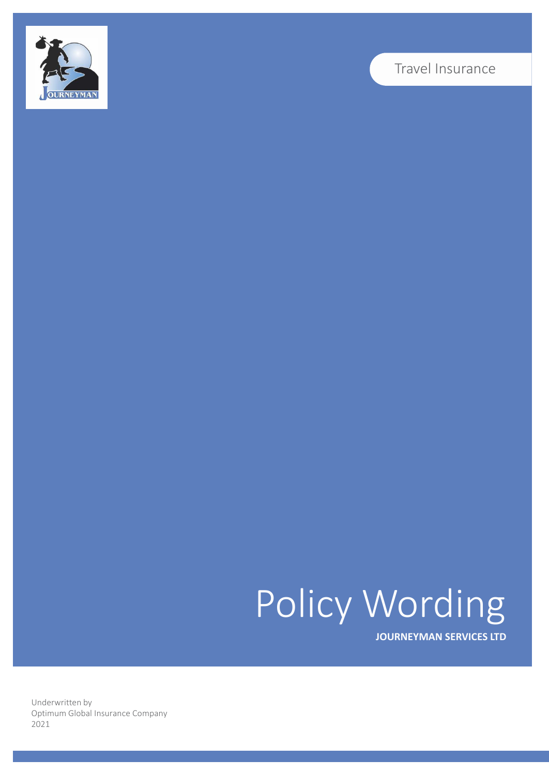

## Travel Insurance

# Policy Wording

**JOURNEYMAN SERVICES LTD**

Underwritten by Optimum Global Insurance Company 2021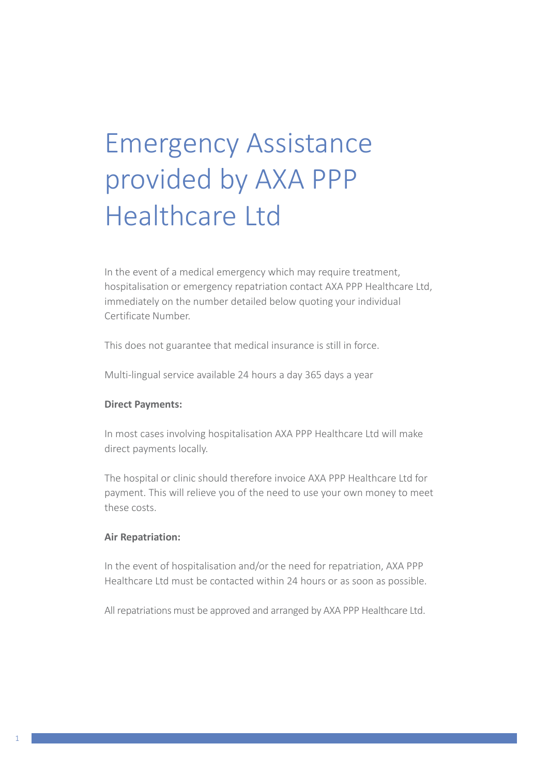## Emergency Assistance provided by AXA PPP Healthcare Ltd

In the event of a medical emergency which may require treatment, hospitalisation or emergency repatriation contact AXA PPP Healthcare Ltd, immediately on the number detailed below quoting your individual Certificate Number.

This does not guarantee that medical insurance is still in force.

Multi-lingual service available 24 hours a day 365 days a year

## **Direct Payments:**

In most cases involving hospitalisation AXA PPP Healthcare Ltd will make direct payments locally.

The hospital or clinic should therefore invoice AXA PPP Healthcare Ltd for payment. This will relieve you of the need to use your own money to meet these costs.

## **Air Repatriation:**

In the event of hospitalisation and/or the need for repatriation, AXA PPP Healthcare Ltd must be contacted within 24 hours or as soon as possible.

All repatriations must be approved and arranged by AXA PPP Healthcare Ltd.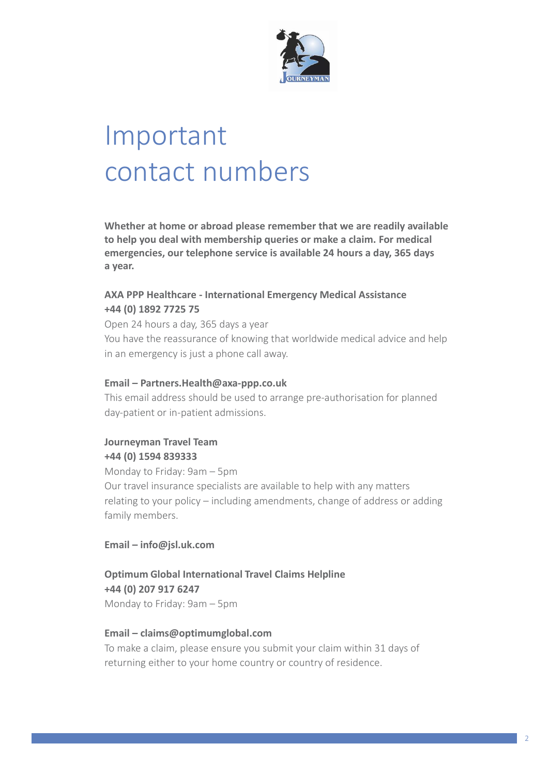

## Important contact numbers

**Whether at home or abroad please remember that we are readily available to help you deal with membership queries or make a claim. For medical emergencies, our telephone service is available 24 hours a day, 365 days a year.**

## **AXA PPP Healthcare - International Emergency Medical Assistance +44 (0) 1892 7725 75**

Open 24 hours a day, 365 days a year You have the reassurance of knowing that worldwide medical advice and help in an emergency is just a phone call away.

## **Email – Partne[rs.Health@axa-ppp.co.uk](mailto:Health@axa-ppp.co.uk)**

This email address should be used to arrange pre-authorisation for planned day-patient or in-patient admissions.

## **Journeyman Travel Team +44 (0) 1594 839333**

Monday to Friday: 9am – 5pm Our travel insurance specialists are available to help with any matters relating to your policy – including amendments, change of address or adding family members.

**Email – [info@jsl.uk.com](mailto:info@jsl.uk.com)**

**Optimum Global International Travel Claims Helpline +44 (0) 207 917 6247** Monday to Friday: 9am – 5pm

## **Email – [claims@optimumglobal.com](mailto:claims@optimumglobal.com)**

To make a claim, please ensure you submit your claim within 31 days of returning either to your home country or country of residence.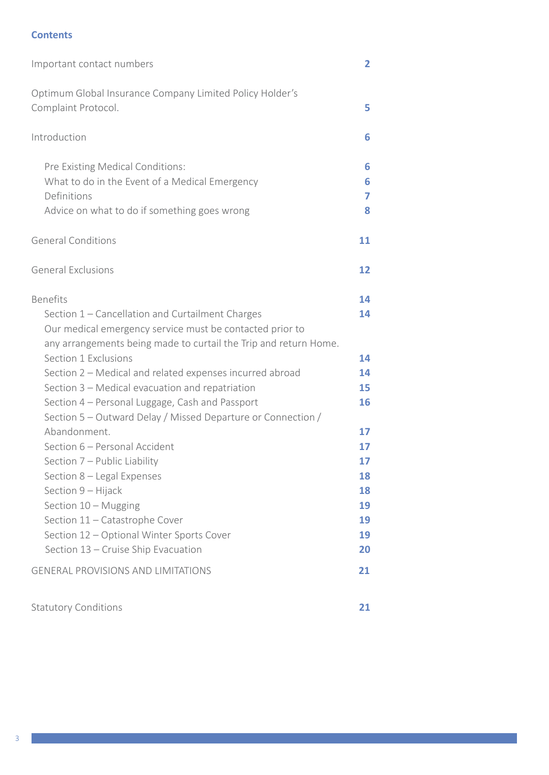## **Contents**

| Important contact numbers                                                        | $\overline{\mathbf{2}}$ |
|----------------------------------------------------------------------------------|-------------------------|
| Optimum Global Insurance Company Limited Policy Holder's<br>Complaint Protocol.  | 5                       |
| Introduction                                                                     | 6                       |
| Pre Existing Medical Conditions:                                                 | 6                       |
| What to do in the Event of a Medical Emergency                                   | 6                       |
| Definitions                                                                      | 7                       |
| Advice on what to do if something goes wrong                                     | 8                       |
| <b>General Conditions</b>                                                        | 11                      |
| <b>General Exclusions</b>                                                        | 12                      |
| <b>Benefits</b>                                                                  | 14                      |
| Section 1 - Cancellation and Curtailment Charges                                 | 14                      |
| Our medical emergency service must be contacted prior to                         |                         |
| any arrangements being made to curtail the Trip and return Home.                 |                         |
| Section 1 Exclusions                                                             | 14                      |
| Section 2 - Medical and related expenses incurred abroad                         | 14                      |
| Section 3 – Medical evacuation and repatriation                                  | 15                      |
| Section 4 - Personal Luggage, Cash and Passport                                  | 16                      |
| Section 5 – Outward Delay / Missed Departure or Connection /                     |                         |
| Abandonment.                                                                     | 17                      |
| Section 6 - Personal Accident                                                    | 17                      |
| Section 7 - Public Liability                                                     | 17                      |
| Section 8 – Legal Expenses                                                       | 18                      |
| Section 9 - Hijack                                                               | 18                      |
| Section 10 - Mugging                                                             | 19                      |
| Section 11 - Catastrophe Cover                                                   | 19                      |
| Section 12 - Optional Winter Sports Cover<br>Section 13 - Cruise Ship Evacuation | 19<br>20                |
|                                                                                  |                         |
| <b>GENERAL PROVISIONS AND LIMITATIONS</b>                                        | 21                      |
|                                                                                  |                         |

Statutory Conditions **21**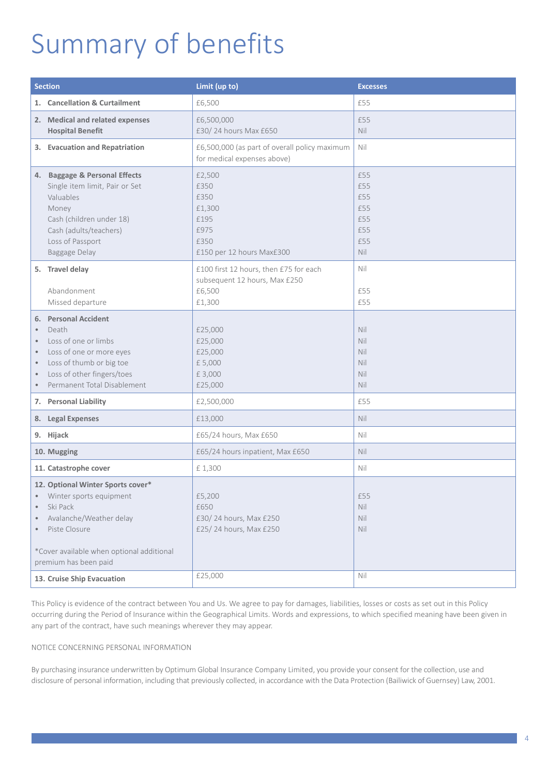## Summary of benefits

| <b>Section</b>                                                             |                                                                                                                                                                                                                          | Limit (up to)                                                                               | <b>Excesses</b>                                      |
|----------------------------------------------------------------------------|--------------------------------------------------------------------------------------------------------------------------------------------------------------------------------------------------------------------------|---------------------------------------------------------------------------------------------|------------------------------------------------------|
|                                                                            | 1. Cancellation & Curtailment                                                                                                                                                                                            | £6,500                                                                                      | £55                                                  |
|                                                                            | 2. Medical and related expenses<br><b>Hospital Benefit</b>                                                                                                                                                               | £6,500,000<br>£30/24 hours Max £650                                                         | £55<br>Nil                                           |
|                                                                            | 3. Evacuation and Repatriation                                                                                                                                                                                           | £6,500,000 (as part of overall policy maximum<br>for medical expenses above)                | Nil                                                  |
|                                                                            | 4. Baggage & Personal Effects<br>Single item limit, Pair or Set<br>Valuables<br>Money<br>Cash (children under 18)<br>Cash (adults/teachers)<br>Loss of Passport<br>Baggage Delay                                         | £2,500<br>£350<br>£350<br>£1,300<br>£195<br>£975<br>£350<br>£150 per 12 hours Max£300       | £55<br>£55<br>£55<br>£55<br>£55<br>£55<br>£55<br>Nil |
|                                                                            | 5. Travel delay<br>Abandonment<br>Missed departure                                                                                                                                                                       | £100 first 12 hours, then £75 for each<br>subsequent 12 hours, Max £250<br>£6,500<br>£1,300 | Nil<br>£55<br>£55                                    |
| $\bullet$<br>$\bullet$<br>$\bullet$<br>$\bullet$<br>$\bullet$<br>$\bullet$ | 6. Personal Accident<br>Death<br>Loss of one or limbs<br>Loss of one or more eyes<br>Loss of thumb or big toe<br>Loss of other fingers/toes<br>Permanent Total Disablement                                               | £25,000<br>£25,000<br>£25,000<br>£5,000<br>£3,000<br>£25,000                                | Nil<br>Nil<br>Nil<br>Nil<br>Nil<br>Nil               |
|                                                                            | 7. Personal Liability                                                                                                                                                                                                    | £2,500,000                                                                                  | £55                                                  |
|                                                                            | 8. Legal Expenses                                                                                                                                                                                                        | £13,000                                                                                     | Nil                                                  |
|                                                                            | 9. Hijack                                                                                                                                                                                                                | £65/24 hours, Max £650                                                                      | Nil                                                  |
| 10. Mugging                                                                |                                                                                                                                                                                                                          | £65/24 hours inpatient, Max £650                                                            | Nil                                                  |
|                                                                            | 11. Catastrophe cover                                                                                                                                                                                                    | £1,300                                                                                      | Nil                                                  |
| $\bullet$<br>$\bullet$<br>$\bullet$                                        | 12. Optional Winter Sports cover*<br>Winter sports equipment<br>Ski Pack<br>Avalanche/Weather delay<br>Piste Closure<br>*Cover available when optional additional<br>premium has been paid<br>13. Cruise Ship Evacuation | £5,200<br>£650<br>£30/24 hours, Max £250<br>£25/24 hours, Max £250<br>£25,000               | £55<br>Nil<br>Nil<br>Nil<br>Nil                      |

This Policy is evidence of the contract between You and Us. We agree to pay for damages, liabilities, losses or costs as set out in this Policy occurring during the Period of Insurance within the Geographical Limits. Words and expressions, to which specified meaning have been given in any part of the contract, have such meanings wherever they may appear.

#### NOTICE CONCERNING PERSONAL INFORMATION

By purchasing insurance underwritten by Optimum Global Insurance Company Limited, you provide your consent for the collection, use and disclosure of personal information, including that previously collected, in accordance with the Data Protection (Bailiwick of Guernsey) Law, 2001.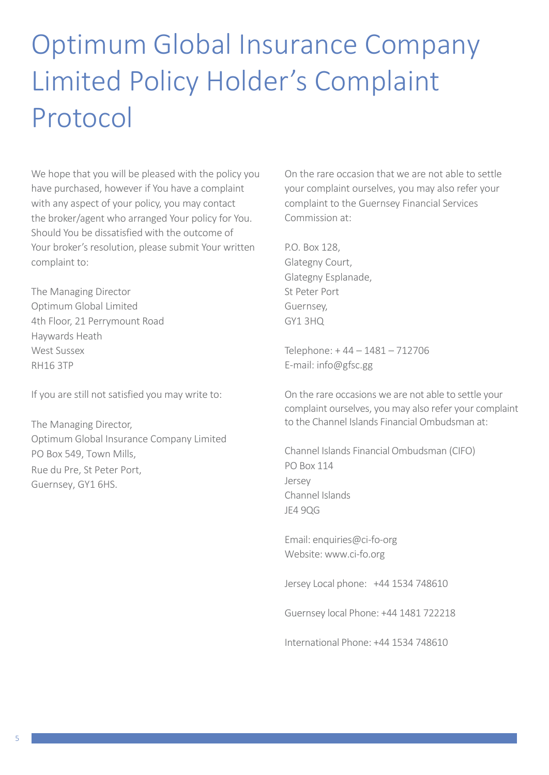## Optimum Global Insurance Company Limited Policy Holder's Complaint Protocol

We hope that you will be pleased with the policy you have purchased, however if You have a complaint with any aspect of your policy, you may contact the broker/agent who arranged Your policy for You. Should You be dissatisfied with the outcome of Your broker's resolution, please submit Your written complaint to:

The Managing Director Optimum Global Limited 4th Floor, 21 Perrymount Road Haywards Heath West Sussex RH16 3TP

If you are still not satisfied you may write to:

The Managing Director, Optimum Global Insurance Company Limited PO Box 549, Town Mills, Rue du Pre, St Peter Port, Guernsey, GY1 6HS.

On the rare occasion that we are not able to settle your complaint ourselves, you may also refer your complaint to the Guernsey Financial Services Commission at:

P.O. Box 128, Glategny Court, Glategny Esplanade, St Peter Port Guernsey,  $GY1 3HO$ 

Telephone: + 44 – 1481 – 712706 E-mail: [info@gfsc.gg](mailto:info@gfsc.gg)

On the rare occasions we are not able to settle your complaint ourselves, you may also refer your complaint to the Channel Islands Financial Ombudsman at:

Channel Islands Financial Ombudsman (CIFO) PO Box 114 Jersey Channel Islands JE4 9QG

Email: enquiries@ci-fo-org Website: www.ci-fo.org

Jersey Local phone: +44 1534 748610

Guernsey local Phone: +44 1481 722218

International Phone: +44 1534 748610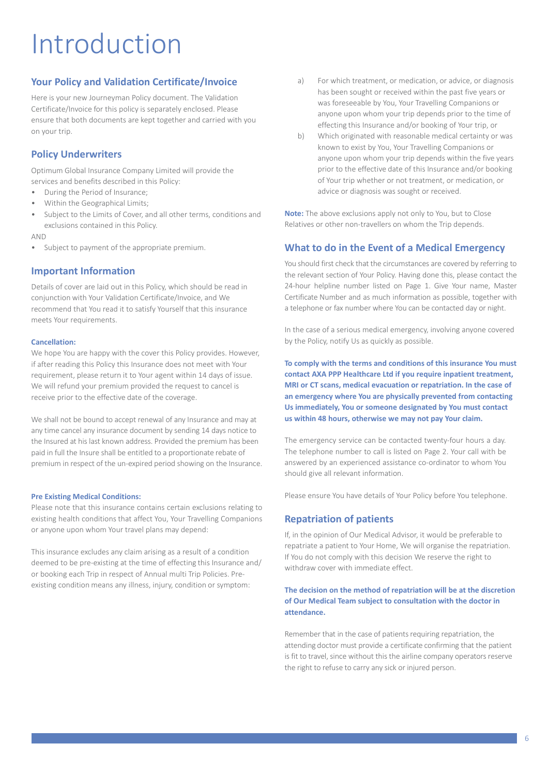## Introduction

## **Your Policy and Validation Certificate/Invoice**

Here is your new Journeyman Policy document. The Validation Certificate/Invoice for this policy is separately enclosed. Please ensure that both documents are kept together and carried with you on your trip.

## **Policy Underwriters**

Optimum Global Insurance Company Limited will provide the services and benefits described in this Policy:

- During the Period of Insurance;
- Within the Geographical Limits;
- Subject to the Limits of Cover, and all other terms, conditions and exclusions contained in this Policy.

#### AND

Subject to payment of the appropriate premium.

## **Important Information**

Details of cover are laid out in this Policy, which should be read in conjunction with Your Validation Certificate/Invoice, and We recommend that You read it to satisfy Yourself that this insurance meets Your requirements.

#### **Cancellation:**

We hope You are happy with the cover this Policy provides. However, if after reading this Policy this Insurance does not meet with Your requirement, please return it to Your agent within 14 days of issue. We will refund your premium provided the request to cancel is receive prior to the effective date of the coverage.

We shall not be bound to accept renewal of any Insurance and may at any time cancel any insurance document by sending 14 days notice to the Insured at his last known address. Provided the premium has been paid in full the Insure shall be entitled to a proportionate rebate of premium in respect of the un-expired period showing on the Insurance.

#### **Pre Existing Medical Conditions:**

Please note that this insurance contains certain exclusions relating to existing health conditions that affect You, Your Travelling Companions or anyone upon whom Your travel plans may depend:

This insurance excludes any claim arising as a result of a condition deemed to be pre-existing at the time of effecting this Insurance and/ or booking each Trip in respect of Annual multi Trip Policies. Preexisting condition means any illness, injury, condition or symptom:

- a) For which treatment, or medication, or advice, or diagnosis has been sought or received within the past five years or was foreseeable by You, Your Travelling Companions or anyone upon whom your trip depends prior to the time of effecting this Insurance and/or booking of Your trip, or
- b) Which originated with reasonable medical certainty or was known to exist by You, Your Travelling Companions or anyone upon whom your trip depends within the five years prior to the effective date of this Insurance and/or booking of Your trip whether or not treatment, or medication, or advice or diagnosis was sought or received.

**Note:** The above exclusions apply not only to You, but to Close Relatives or other non-travellers on whom the Trip depends.

### **What to do in the Event of a Medical Emergency**

You should first check that the circumstances are covered by referring to the relevant section of Your Policy. Having done this, please contact the 24-hour helpline number listed on Page 1. Give Your name, Master Certificate Number and as much information as possible, together with a telephone or fax number where You can be contacted day or night.

In the case of a serious medical emergency, involving anyone covered by the Policy, notify Us as quickly as possible.

**To comply with the terms and conditions of this insurance You must contact AXA PPP Healthcare Ltd if you require inpatient treatment, MRI or CT scans, medical evacuation or repatriation. In the case of an emergency where You are physically prevented from contacting Us immediately, You or someone designated by You must contact us within 48 hours, otherwise we may not pay Your claim.**

The emergency service can be contacted twenty-four hours a day. The telephone number to call is listed on Page 2. Your call with be answered by an experienced assistance co-ordinator to whom You should give all relevant information.

Please ensure You have details of Your Policy before You telephone.

#### **Repatriation of patients**

If, in the opinion of Our Medical Advisor, it would be preferable to repatriate a patient to Your Home, We will organise the repatriation. If You do not comply with this decision We reserve the right to withdraw cover with immediate effect.

### **The decision on the method of repatriation will be at the discretion of Our Medical Team subject to consultation with the doctor in attendance.**

Remember that in the case of patients requiring repatriation, the attending doctor must provide a certificate confirming that the patient is fit to travel, since without this the airline company operators reserve the right to refuse to carry any sick or injured person.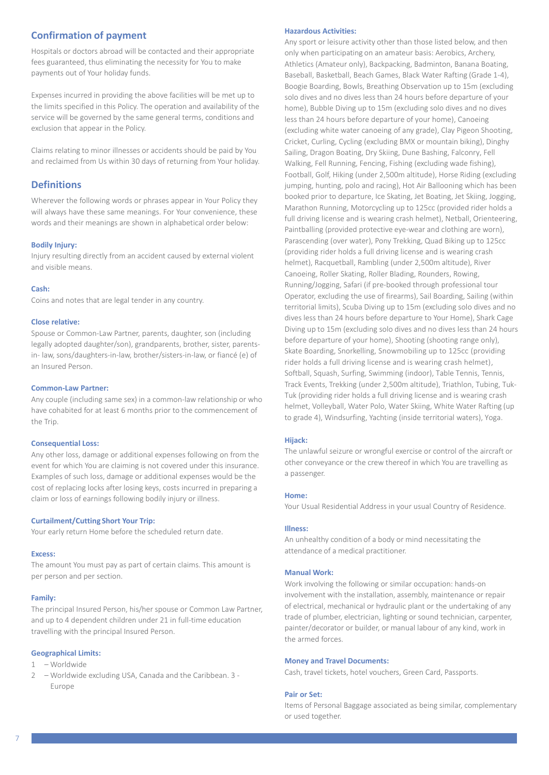## **Confirmation of payment**

Hospitals or doctors abroad will be contacted and their appropriate fees guaranteed, thus eliminating the necessity for You to make payments out of Your holiday funds.

Expenses incurred in providing the above facilities will be met up to the limits specified in this Policy. The operation and availability of the service will be governed by the same general terms, conditions and exclusion that appear in the Policy.

Claims relating to minor illnesses or accidents should be paid by You and reclaimed from Us within 30 days of returning from Your holiday.

### **Definitions**

Wherever the following words or phrases appear in Your Policy they will always have these same meanings. For Your convenience, these words and their meanings are shown in alphabetical order below:

#### **Bodily Injury:**

Injury resulting directly from an accident caused by external violent and visible means.

#### **Cash:**

Coins and notes that are legal tender in any country.

#### **Close relative:**

Spouse or Common-Law Partner, parents, daughter, son (including legally adopted daughter/son), grandparents, brother, sister, parentsin- law, sons/daughters-in-law, brother/sisters-in-law, or fiancé (e) of an Insured Person.

#### **Common-Law Partner:**

Any couple (including same sex) in a common-law relationship or who have cohabited for at least 6 months prior to the commencement of the Trip.

#### **Consequential Loss:**

Any other loss, damage or additional expenses following on from the event for which You are claiming is not covered under this insurance. Examples of such loss, damage or additional expenses would be the cost of replacing locks after losing keys, costs incurred in preparing a claim or loss of earnings following bodily injury or illness.

#### **Curtailment/Cutting Short Your Trip:**

Your early return Home before the scheduled return date.

#### **Excess:**

The amount You must pay as part of certain claims. This amount is per person and per section.

#### **Family:**

The principal Insured Person, his/her spouse or Common Law Partner, and up to 4 dependent children under 21 in full-time education travelling with the principal Insured Person.

#### **Geographical Limits:**

#### 1 – Worldwide

2 – Worldwide excluding USA, Canada and the Caribbean. 3 - Europe

#### **Hazardous Activities:**

Any sport or leisure activity other than those listed below, and then only when participating on an amateur basis: Aerobics, Archery, Athletics (Amateur only), Backpacking, Badminton, Banana Boating, Baseball, Basketball, Beach Games, Black Water Rafting (Grade 1-4), Boogie Boarding, Bowls, Breathing Observation up to 15m (excluding solo dives and no dives less than 24 hours before departure of your home), Bubble Diving up to 15m (excluding solo dives and no dives less than 24 hours before departure of your home), Canoeing (excluding white water canoeing of any grade), Clay Pigeon Shooting, Cricket, Curling, Cycling (excluding BMX or mountain biking), Dinghy Sailing, Dragon Boating, Dry Skiing, Dune Bashing, Falconry, Fell Walking, Fell Running, Fencing, Fishing (excluding wade fishing), Football, Golf, Hiking (under 2,500m altitude), Horse Riding (excluding jumping, hunting, polo and racing), Hot Air Ballooning which has been booked prior to departure, Ice Skating, Jet Boating, Jet Skiing, Jogging, Marathon Running, Motorcycling up to 125cc (provided rider holds a full driving license and is wearing crash helmet), Netball, Orienteering, Paintballing (provided protective eye-wear and clothing are worn), Parascending (over water), Pony Trekking, Quad Biking up to 125cc (providing rider holds a full driving license and is wearing crash helmet), Racquetball, Rambling (under 2,500m altitude), River Canoeing, Roller Skating, Roller Blading, Rounders, Rowing, Running/Jogging, Safari (if pre-booked through professional tour Operator, excluding the use of firearms), Sail Boarding, Sailing (within territorial limits), Scuba Diving up to 15m (excluding solo dives and no dives less than 24 hours before departure to Your Home), Shark Cage Diving up to 15m (excluding solo dives and no dives less than 24 hours before departure of your home), Shooting (shooting range only), Skate Boarding, Snorkelling, Snowmobiling up to 125cc (providing rider holds a full driving license and is wearing crash helmet), Softball, Squash, Surfing, Swimming (indoor), Table Tennis, Tennis, Track Events, Trekking (under 2,500m altitude), Triathlon, Tubing, Tuk-Tuk (providing rider holds a full driving license and is wearing crash helmet, Volleyball, Water Polo, Water Skiing, White Water Rafting (up to grade 4), Windsurfing, Yachting (inside territorial waters), Yoga.

#### **Hijack:**

The unlawful seizure or wrongful exercise or control of the aircraft or other conveyance or the crew thereof in which You are travelling as a passenger.

#### **Home:**

Your Usual Residential Address in your usual Country of Residence.

#### **Illness:**

An unhealthy condition of a body or mind necessitating the attendance of a medical practitioner.

#### **Manual Work:**

Work involving the following or similar occupation: hands-on involvement with the installation, assembly, maintenance or repair of electrical, mechanical or hydraulic plant or the undertaking of any trade of plumber, electrician, lighting or sound technician, carpenter, painter/decorator or builder, or manual labour of any kind, work in the armed forces.

#### **Money and Travel Documents:**

Cash, travel tickets, hotel vouchers, Green Card, Passports.

#### **Pair or Set:**

Items of Personal Baggage associated as being similar, complementary or used together.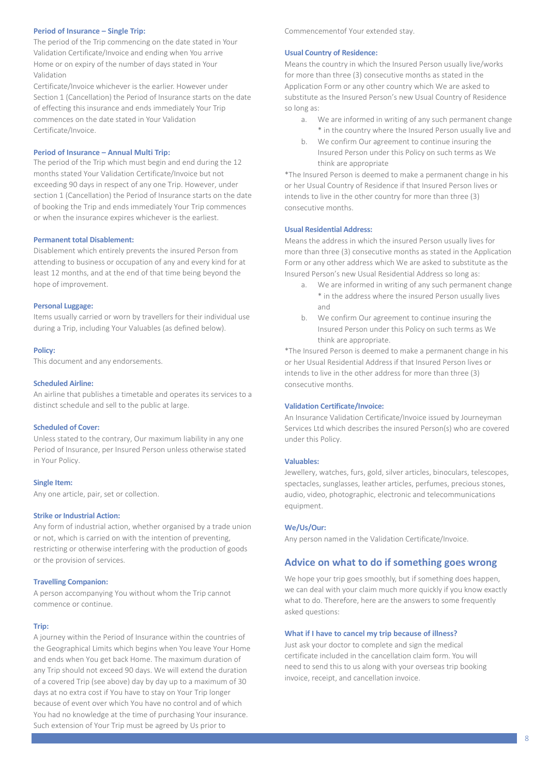#### **Period of Insurance – Single Trip:**

The period of the Trip commencing on the date stated in Your Validation Certificate/Invoice and ending when You arrive Home or on expiry of the number of days stated in Your Validation

Certificate/Invoice whichever is the earlier. However under Section 1 (Cancellation) the Period of Insurance starts on the date of effecting this insurance and ends immediately Your Trip commences on the date stated in Your Validation Certificate/Invoice.

#### **Period of Insurance – Annual Multi Trip:**

The period of the Trip which must begin and end during the 12 months stated Your Validation Certificate/Invoice but not exceeding 90 days in respect of any one Trip. However, under section 1 (Cancellation) the Period of Insurance starts on the date of booking the Trip and ends immediately Your Trip commences or when the insurance expires whichever is the earliest.

#### **Permanent total Disablement:**

Disablement which entirely prevents the insured Person from attending to business or occupation of any and every kind for at least 12 months, and at the end of that time being beyond the hope of improvement.

#### **Personal Luggage:**

Items usually carried or worn by travellers for their individual use during a Trip, including Your Valuables (as defined below).

#### **Policy:**

This document and any endorsements.

#### **Scheduled Airline:**

An airline that publishes a timetable and operates its services to a distinct schedule and sell to the public at large.

#### **Scheduled of Cover:**

Unless stated to the contrary, Our maximum liability in any one Period of Insurance, per Insured Person unless otherwise stated in Your Policy.

#### **Single Item:**

Any one article, pair, set or collection.

#### **Strike or Industrial Action:**

Any form of industrial action, whether organised by a trade union or not, which is carried on with the intention of preventing, restricting or otherwise interfering with the production of goods or the provision of services.

#### **Travelling Companion:**

A person accompanying You without whom the Trip cannot commence or continue.

#### **Trip:**

A journey within the Period of Insurance within the countries of the Geographical Limits which begins when You leave Your Home and ends when You get back Home. The maximum duration of any Trip should not exceed 90 days. We will extend the duration of a covered Trip (see above) day by day up to a maximum of 30 days at no extra cost if You have to stay on Your Trip longer because of event over which You have no control and of which You had no knowledge at the time of purchasing Your insurance. Such extension of Your Trip must be agreed by Us prior to

Commencementof Your extended stay.

#### **Usual Country of Residence:**

Means the country in which the Insured Person usually live/works for more than three (3) consecutive months as stated in the Application Form or any other country which We are asked to substitute as the Insured Person's new Usual Country of Residence so long as:

- a. We are informed in writing of any such permanent change \* in the country where the Insured Person usually live and
- b. We confirm Our agreement to continue insuring the Insured Person under this Policy on such terms as We think are appropriate

\*The Insured Person is deemed to make a permanent change in his or her Usual Country of Residence if that Insured Person lives or intends to live in the other country for more than three (3) consecutive months.

#### **Usual Residential Address:**

Means the address in which the insured Person usually lives for more than three (3) consecutive months as stated in the Application Form or any other address which We are asked to substitute as the Insured Person's new Usual Residential Address so long as:

- a. We are informed in writing of any such permanent change \* in the address where the insured Person usually lives and
- b. We confirm Our agreement to continue insuring the Insured Person under this Policy on such terms as We think are appropriate.

\*The Insured Person is deemed to make a permanent change in his or her Usual Residential Address if that Insured Person lives or intends to live in the other address for more than three (3) consecutive months.

#### **Validation Certificate/Invoice:**

An Insurance Validation Certificate/Invoice issued by Journeyman Services Ltd which describes the insured Person(s) who are covered under this Policy.

#### **Valuables:**

Jewellery, watches, furs, gold, silver articles, binoculars, telescopes, spectacles, sunglasses, leather articles, perfumes, precious stones, audio, video, photographic, electronic and telecommunications equipment.

#### **We/Us/Our:**

Any person named in the Validation Certificate/Invoice.

#### **Advice on what to do if something goes wrong**

We hope your trip goes smoothly, but if something does happen, we can deal with your claim much more quickly if you know exactly what to do. Therefore, here are the answers to some frequently asked questions:

#### **What if I have to cancel my trip because of illness?**

Just ask your doctor to complete and sign the medical certificate included in the cancellation claim form. You will need to send this to us along with your overseas trip booking invoice, receipt, and cancellation invoice.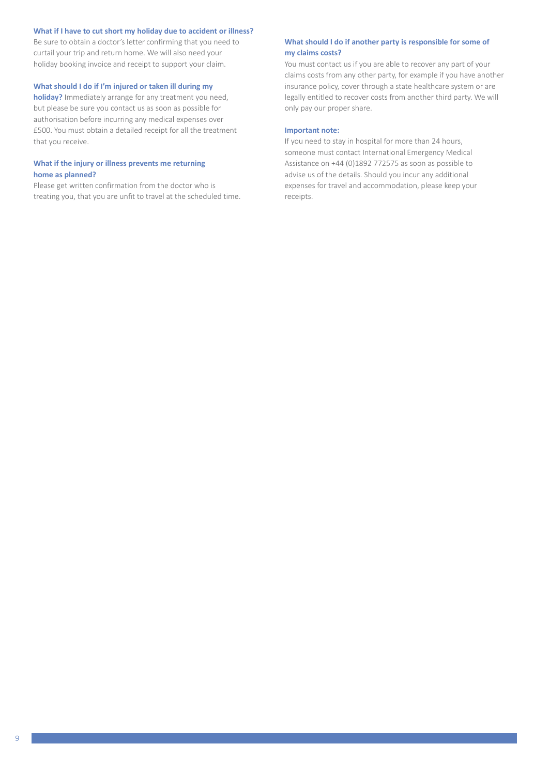#### **What if I have to cut short my holiday due to accident or illness?**

Be sure to obtain a doctor's letter confirming that you need to curtail your trip and return home. We will also need your holiday booking invoice and receipt to support your claim.

#### **What should I do if I'm injured or taken ill during my**

**holiday?** Immediately arrange for any treatment you need, but please be sure you contact us as soon as possible for authorisation before incurring any medical expenses over £500. You must obtain a detailed receipt for all the treatment that you receive.

#### **What if the injury or illness prevents me returning home as planned?**

Please get written confirmation from the doctor who is treating you, that you are unfit to travel at the scheduled time.

#### **What should I do if another party is responsible for some of my claims costs?**

You must contact us if you are able to recover any part of your claims costs from any other party, for example if you have another insurance policy, cover through a state healthcare system or are legally entitled to recover costs from another third party. We will only pay our proper share.

#### **Important note:**

If you need to stay in hospital for more than 24 hours, someone must contact International Emergency Medical Assistance on +44 (0)1892 772575 as soon as possible to advise us of the details. Should you incur any additional expenses for travel and accommodation, please keep your receipts.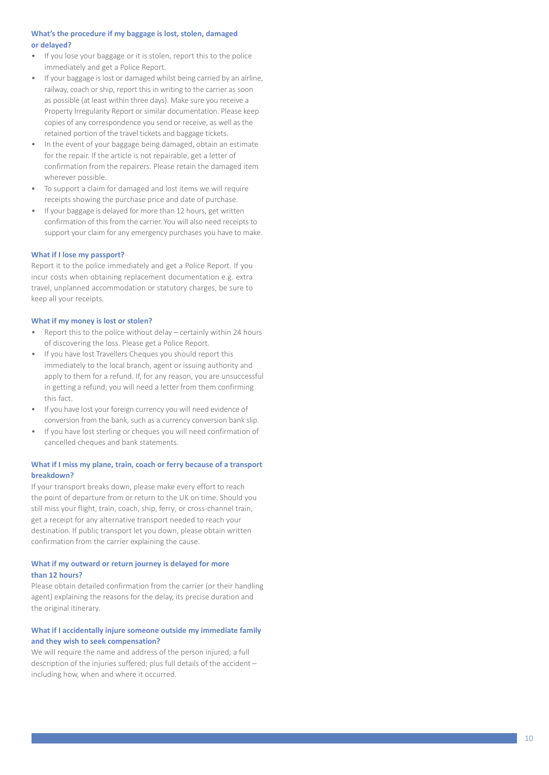#### What's the procedure if my baggage is lost, stolen, damaged **or del a yed?**

- If you lose your baggage or it is stolen, report this to the police immediately and g et a Police Report.
- If your baggage is lost or damaged whilst being carried by an airline, railway, coach or ship, report this in writing to the carrier as soon as possible (at least within three days). Make sure you receive a Property Irregularity Report or similar documentation. Please keep copies of any correspondence you send or receive, as well as the retained portion of the travel tickets and baggage tickets.
- In the event of your baggage being damaged, obtain an estimate for the repair. If the article is not repairable, get a letter of c o nfirm ation f rom the repai r e rs. Please r e tain the dama ged i tem whe r e ver possible.
- To support a claim for damaged and lost items we will require receipts showing the purchase price and date of purchase.
- If your baggage is delayed for more than 12 hours, get written confirmation of this from the carrier. You will also need receipts to support your claim for any emergency purchases you have to make.

#### **Wh at if I lose my passport?**

Report it to the police immediately and g et a Police Report. If you incur costs when obtaining replacement documentation e.g. extra travel, unplanned accommodation or statutory charges, be sure to keep all your recei pts.

#### **Wh at if my mon ey is lo st or stolen?**

- Report this to the police without delay certainly within 24 hours of dis c o vering the loss. Please g et a Police Report.
- If you have lost Travellers Cheques you should report this immediately to the local branch, agent or issuing authority and apply to them for a refund. If, for any reason, you are unsuccessful in getting a refund, you will need a letter from them confirming this fact.
- If you have lost your foreign currency you will need evidence of conversion from the bank, such as a currency conversion bank slip.
- If you have lost sterling or cheques you will need confirmation of cancelled cheques and bank stateme nts.

#### **Wh at if I miss my plane, t rain, coach or fer ry be cause of a t ransport b rea kdown?**

If your transport breaks down, please make every effort to reach the point of departure from or return to the UK on time. Should you still miss your flight, train, coach, ship, ferry, or cross-channel train, get a receipt for any alternative transport needed to reach your destination. If public transport let you down, please obtain written confirmation from the carrier explaining the cause.

#### What if my outward or return journey is delayed for more **than 12 hours?**

Please obtain detailed confirmation from the carrier (or their handling agent) explaining the reasons for the delay, its precise duration and the original itinerary.

#### What if I accidentally injure someone outside my immediate family **and th ey wish to seek compens ation?**

We will require the name and address of the person injured; a full description of the injuries suffered; plus full details of the accident including h o w, when and whe re it occur red.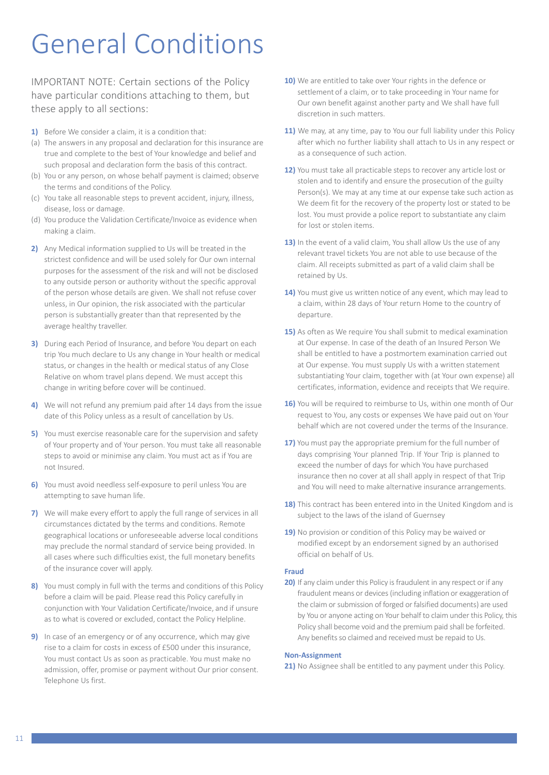## General Conditions

IMPORTANT NOTE: Certain sections of the Policy have particular conditions attaching to them, but these apply to all sections:

- **1)** Before We consider a claim, it is a condition that:
- (a) The answers in any proposal and declaration for this insurance are true and complete to the best of Your knowledge and belief and such proposal and declaration form the basis of this contract.
- (b) You or any person, on whose behalf payment is claimed; observe the terms and conditions of the Policy.
- (c) You take all reasonable steps to prevent accident, injury, illness, disease, loss or damage.
- (d) You produce the Validation Certificate/Invoice as evidence when making a claim.
- **2)** Any Medical information supplied to Us will be treated in the strictest confidence and will be used solely for Our own internal purposes for the assessment of the risk and will not be disclosed to any outside person or authority without the specific approval of the person whose details are given. We shall not refuse cover unless, in Our opinion, the risk associated with the particular person is substantially greater than that represented by the average healthy traveller.
- **3)** During each Period of Insurance, and before You depart on each trip You much declare to Us any change in Your health or medical status, or changes in the health or medical status of any Close Relative on whom travel plans depend. We must accept this change in writing before cover will be continued.
- **4)** We will not refund any premium paid after 14 days from the issue date of this Policy unless as a result of cancellation by Us.
- **5)** You must exercise reasonable care for the supervision and safety of Your property and of Your person. You must take all reasonable steps to avoid or minimise any claim. You must act as if You are not Insured.
- **6)** You must avoid needless self-exposure to peril unless You are attempting to save human life.
- **7)** We will make every effort to apply the full range of services in all circumstances dictated by the terms and conditions. Remote geographical locations or unforeseeable adverse local conditions may preclude the normal standard of service being provided. In all cases where such difficulties exist, the full monetary benefits of the insurance cover will apply.
- **8)** You must comply in full with the terms and conditions of this Policy before a claim will be paid. Please read this Policy carefully in conjunction with Your Validation Certificate/Invoice, and if unsure as to what is covered or excluded, contact the Policy Helpline.
- **9)** In case of an emergency or of any occurrence, which may give rise to a claim for costs in excess of £500 under this insurance, You must contact Us as soon as practicable. You must make no admission, offer, promise or payment without Our prior consent. Telephone Us first.
- **10)** We are entitled to take over Your rights in the defence or settlement of a claim, or to take proceeding in Your name for Our own benefit against another party and We shall have full discretion in such matters.
- 11) We may, at any time, pay to You our full liability under this Policy after which no further liability shall attach to Us in any respect or as a consequence of such action.
- **12)** You must take all practicable steps to recover any article lost or stolen and to identify and ensure the prosecution of the guilty Person(s). We may at any time at our expense take such action as We deem fit for the recovery of the property lost or stated to be lost. You must provide a police report to substantiate any claim for lost or stolen items.
- 13) In the event of a valid claim, You shall allow Us the use of any relevant travel tickets You are not able to use because of the claim. All receipts submitted as part of a valid claim shall be retained by Us.
- 14) You must give us written notice of any event, which may lead to a claim, within 28 days of Your return Home to the country of departure.
- **15)** As often as We require You shall submit to medical examination at Our expense. In case of the death of an Insured Person We shall be entitled to have a postmortem examination carried out at Our expense. You must supply Us with a written statement substantiating Your claim, together with (at Your own expense) all certificates, information, evidence and receipts that We require.
- **16)** You will be required to reimburse to Us, within one month of Our request to You, any costs or expenses We have paid out on Your behalf which are not covered under the terms of the Insurance.
- **17)** You must pay the appropriate premium for the full number of days comprising Your planned Trip. If Your Trip is planned to exceed the number of days for which You have purchased insurance then no cover at all shall apply in respect of that Trip and You will need to make alternative insurance arrangements.
- 18) This contract has been entered into in the United Kingdom and is subject to the laws of the island of Guernsey
- **19)** No provision or condition of this Policy may be waived or modified except by an endorsement signed by an authorised official on behalf of Us.

#### **Fraud**

**20)** If any claim under this Policy is fraudulent in any respect or if any fraudulent means or devices (including inflation or exaggeration of the claim or submission of forged or falsified documents) are used by You or anyone acting on Your behalf to claim under this Policy, this Policy shall become void and the premium paid shall be forfeited. Any benefits so claimed and received must be repaid to Us.

#### **Non-Assignment**

21) No Assignee shall be entitled to any payment under this Policy.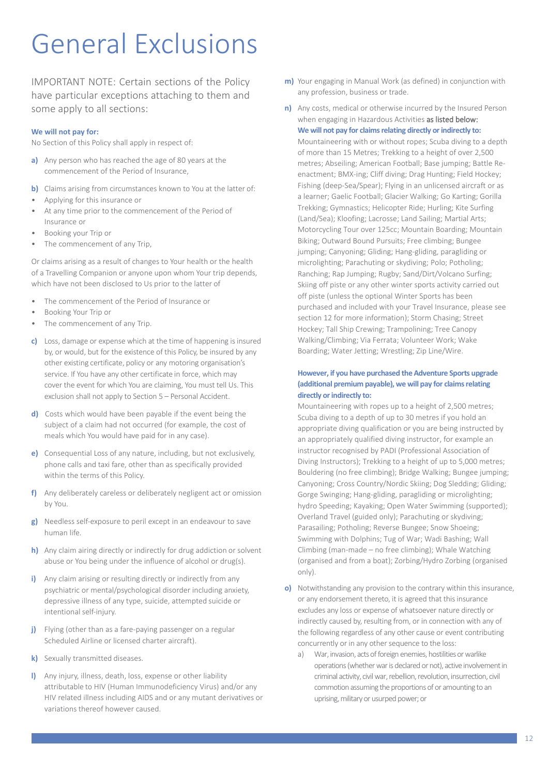## General Exclusions

IMPORTANT NOTE: Certain sections of the Policy have particular exceptions attaching to them and some apply to all sections:

#### **We will not pay for:**

No Section of this Policy shall apply in respect of:

- **a)** Any person who has reached the age of 80 years at the commencement of the Period of Insurance,
- **b)** Claims arising from circumstances known to You at the latter of:
- Applying for this insurance or
- At any time prior to the commencement of the Period of Insurance or
- Booking your Trip or
- The commencement of any Trip,

Or claims arising as a result of changes to Your health or the health of a Travelling Companion or anyone upon whom Your trip depends, which have not been disclosed to Us prior to the latter of

- The commencement of the Period of Insurance or
- Booking Your Trip or
- The commencement of any Trip.
- **c)** Loss, damage or expense which at the time of happening is insured by, or would, but for the existence of this Policy, be insured by any other existing certificate, policy or any motoring organisation's service. If You have any other certificate in force, which may cover the event for which You are claiming, You must tell Us. This exclusion shall not apply to Section 5 – Personal Accident.
- **d)** Costs which would have been payable if the event being the subject of a claim had not occurred (for example, the cost of meals which You would have paid for in any case).
- **e)** Consequential Loss of any nature, including, but not exclusively, phone calls and taxi fare, other than as specifically provided within the terms of this Policy.
- **f)** Any deliberately careless or deliberately negligent act or omission by You.
- **g)** Needless self-exposure to peril except in an endeavour to save human life.
- **h)** Any claim airing directly or indirectly for drug addiction or solvent abuse or You being under the influence of alcohol or drug(s).
- **i)** Any claim arising or resulting directly or indirectly from any psychiatric or mental/psychological disorder including anxiety, depressive illness of any type, suicide, attempted suicide or intentional self-injury.
- **j)** Flying (other than as a fare-paying passenger on a regular Scheduled Airline or licensed charter aircraft).
- **k)** Sexually transmitted diseases.
- **l)** Any injury, illness, death, loss, expense or other liability attributable to HIV (Human Immunodeficiency Virus) and/or any HIV related illness including AIDS and or any mutant derivatives or variations thereof however caused.
- **m)** Your engaging in Manual Work (as defined) in conjunction with any profession, business or trade.
- **n)** Any costs, medical or otherwise incurred by the Insured Person when engaging in Hazardous Activities as listed below: **We will not pay for claims relating directly or indirectly to:**

Mountaineering with or without ropes; Scuba diving to a depth of more than 15 Metres; Trekking to a height of over 2,500 metres; Abseiling; American Football; Base jumping; Battle Reenactment; BMX-ing; Cliff diving; Drag Hunting; Field Hockey; Fishing (deep-Sea/Spear); Flying in an unlicensed aircraft or as a learner; Gaelic Football; Glacier Walking; Go Karting; Gorilla Trekking; Gymnastics; Helicopter Ride; Hurling; Kite Surfing (Land/Sea); Kloofing; Lacrosse; Land Sailing; Martial Arts; Motorcycling Tour over 125cc; Mountain Boarding; Mountain Biking; Outward Bound Pursuits; Free climbing; Bungee jumping; Canyoning; Gliding; Hang-gliding, paragliding or microlighting; Parachuting or skydiving; Polo; Potholing; Ranching; Rap Jumping; Rugby; Sand/Dirt/Volcano Surfing; Skiing off piste or any other winter sports activity carried out off piste (unless the optional Winter Sports has been purchased and included with your Travel Insurance, please see section 12 for more information); Storm Chasing; Street Hockey; Tall Ship Crewing; Trampolining; Tree Canopy Walking/Climbing; Via Ferrata; Volunteer Work; Wake Boarding; Water Jetting; Wrestling; Zip Line/Wire.

#### **However, if you have purchased the Adventure Sports upgrade (additional premium payable), we will pay for claims relating directly or indirectly to:**

Mountaineering with ropes up to a height of 2,500 metres; Scuba diving to a depth of up to 30 metres if you hold an appropriate diving qualification or you are being instructed by an appropriately qualified diving instructor, for example an instructor recognised by PADI (Professional Association of Diving Instructors); Trekking to a height of up to 5,000 metres; Bouldering (no free climbing); Bridge Walking; Bungee jumping; Canyoning; Cross Country/Nordic Skiing; Dog Sledding; Gliding; Gorge Swinging; Hang-gliding, paragliding or microlighting; hydro Speeding; Kayaking; Open Water Swimming (supported); Overland Travel (guided only); Parachuting or skydiving; Parasailing; Potholing; Reverse Bungee; Snow Shoeing; Swimming with Dolphins; Tug of War; Wadi Bashing; Wall Climbing (man-made – no free climbing); Whale Watching (organised and from a boat); Zorbing/Hydro Zorbing (organised only).

- **o)** Notwithstanding any provision to the contrary within this insurance, or any endorsement thereto, it is agreed that this insurance excludes any loss or expense of whatsoever nature directly or indirectly caused by, resulting from, or in connection with any of the following regardless of any other cause or event contributing concurrently or in any other sequence to the loss:
	- a) War, invasion, acts of foreign enemies, hostilities or warlike operations (whether war is declared or not), active involvement in criminal activity, civil war, rebellion, revolution, insurrection, civil commotion assuming the proportions of or amounting to an uprising, military or usurped power; or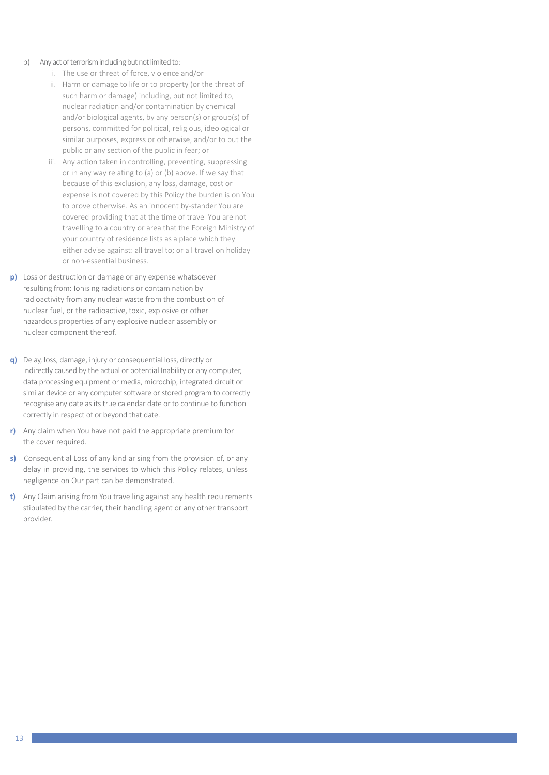- b) Any act of terrorism including but not limited to:
	- i. The use or threat of force, violence and/or
	- ii. Harm or damage to life or to property (or the threat of such harm or damage) including, but not limited to, nuclear radiation and/or contamination by chemical and/or biological agents, by any person(s) or group(s) of persons, committed for political, religious, ideological or similar purposes, express or otherwise, and/or to put the public or any section of the public in fear; or
	- iii. Any action taken in controlling, preventing, suppressing or in any way relating to (a) or (b) above. If we say that because of this exclusion, any loss, damage, cost or expense is not covered by this Policy the burden is on You to prove otherwise. As an innocent by-stander You are covered providing that at the time of travel You are not travelling to a country or area that the Foreign Ministry of your country of residence lists as a place which they either advise against: all travel to; or all travel on holiday or non-essential business.
- **p)** Loss or destruction or damage or any expense whatsoever resulting from: Ionising radiations or contamination by radioactivity from any nuclear waste from the combustion of nuclear fuel, or the radioactive, toxic, explosive or other hazardous properties of any explosive nuclear assembly or nuclear component thereof.
- **q)** Delay, loss, damage, injury or consequential loss, directly or indirectly caused by the actual or potential Inability or any computer, data processing equipment or media, microchip, integrated circuit or similar device or any computer software or stored program to correctly recognise any date as its true calendar date or to continue to function correctly in respect of or beyond that date.
- **r)** Any claim when You have not paid the appropriate premium for the cover required.
- **s)** Consequential Loss of any kind arising from the provision of, or any delay in providing, the services to which this Policy relates, unless negligence on Our part can be demonstrated.
- **t)** Any Claim arising from You travelling against any health requirements stipulated by the carrier, their handling agent or any other transport provider.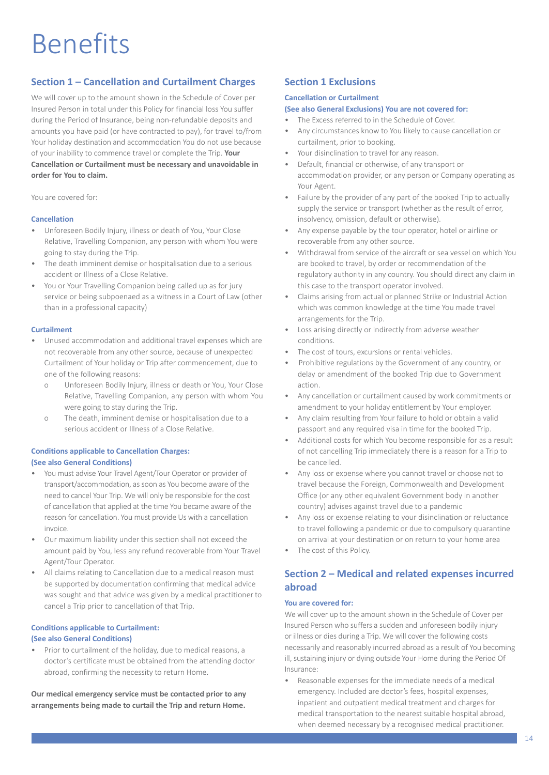## Benefits

## **Section 1 – Cancellation and Curtailment Charges**

We will cover up to the amount shown in the Schedule of Cover per Insured Person in total under this Policy for financial loss You suffer during the Period of Insurance, being non-refundable deposits and amounts you have paid (or have contracted to pay), for travel to/from Your holiday destination and accommodation You do not use because of your inability to commence travel or complete the Trip. **Your Cancellation or Curtailment must be necessary and unavoidable in order for You to claim.**

You are covered for:

#### **Cancellation**

- Unforeseen Bodily Injury, illness or death of You, Your Close Relative, Travelling Companion, any person with whom You were going to stay during the Trip.
- The death imminent demise or hospitalisation due to a serious accident or Illness of a Close Relative.
- You or Your Travelling Companion being called up as for jury service or being subpoenaed as a witness in a Court of Law (other than in a professional capacity)

#### **Curtailment**

- Unused accommodation and additional travel expenses which are not recoverable from any other source, because of unexpected Curtailment of Your holiday or Trip after commencement, due to one of the following reasons:
	- o Unforeseen Bodily Injury, illness or death or You, Your Close Relative, Travelling Companion, any person with whom You were going to stay during the Trip.
	- o The death, imminent demise or hospitalisation due to a serious accident or Illness of a Close Relative.

#### **Conditions applicable to Cancellation Charges: (See also General Conditions)**

- You must advise Your Travel Agent/Tour Operator or provider of transport/accommodation, as soon as You become aware of the need to cancel Your Trip. We will only be responsible for the cost of cancellation that applied at the time You became aware of the reason for cancellation. You must provide Us with a cancellation invoice.
- Our maximum liability under this section shall not exceed the amount paid by You, less any refund recoverable from Your Travel Agent/Tour Operator.
- All claims relating to Cancellation due to a medical reason must be supported by documentation confirming that medical advice was sought and that advice was given by a medical practitioner to cancel a Trip prior to cancellation of that Trip.

#### **Conditions applicable to Curtailment: (See also General Conditions)**

• Prior to curtailment of the holiday, due to medical reasons, a doctor's certificate must be obtained from the attending doctor abroad, confirming the necessity to return Home.

**Our medical emergency service must be contacted prior to any arrangements being made to curtail the Trip and return Home.**

## **Section 1 Exclusions**

#### **Cancellation or Curtailment**

#### **(See also General Exclusions) You are not covered for:**

- The Excess referred to in the Schedule of Cover.
- Any circumstances know to You likely to cause cancellation or curtailment, prior to booking.
- Your disinclination to travel for any reason.
- Default, financial or otherwise, of any transport or accommodation provider, or any person or Company operating as Your Agent.
- Failure by the provider of any part of the booked Trip to actually supply the service or transport (whether as the result of error, insolvency, omission, default or otherwise).
- Any expense payable by the tour operator, hotel or airline or recoverable from any other source.
- Withdrawal from service of the aircraft or sea vessel on which You are booked to travel, by order or recommendation of the regulatory authority in any country. You should direct any claim in this case to the transport operator involved.
- Claims arising from actual or planned Strike or Industrial Action which was common knowledge at the time You made travel arrangements for the Trip.
- Loss arising directly or indirectly from adverse weather conditions.
- The cost of tours, excursions or rental vehicles.
- Prohibitive regulations by the Government of any country, or delay or amendment of the booked Trip due to Government action.
- Any cancellation or curtailment caused by work commitments or amendment to your holiday entitlement by Your employer.
- Any claim resulting from Your failure to hold or obtain a valid passport and any required visa in time for the booked Trip.
- Additional costs for which You become responsible for as a result of not cancelling Trip immediately there is a reason for a Trip to be cancelled.
- Any loss or expense where you cannot travel or choose not to travel because the Foreign, Commonwealth and Development Office (or any other equivalent Government body in another country) advises against travel due to a pandemic
- Any loss or expense relating to your disinclination or reluctance to travel following a pandemic or due to compulsory quarantine on arrival at your destination or on return to your home area
- The cost of this Policy.

## **Section 2 – Medical and related expenses incurred abroad**

#### **You are covered for:**

We will cover up to the amount shown in the Schedule of Cover per Insured Person who suffers a sudden and unforeseen bodily injury or illness or dies during a Trip. We will cover the following costs necessarily and reasonably incurred abroad as a result of You becoming ill, sustaining injury or dying outside Your Home during the Period Of Insurance:

• Reasonable expenses for the immediate needs of a medical emergency. Included are doctor's fees, hospital expenses, inpatient and outpatient medical treatment and charges for medical transportation to the nearest suitable hospital abroad, when deemed necessary by a recognised medical practitioner.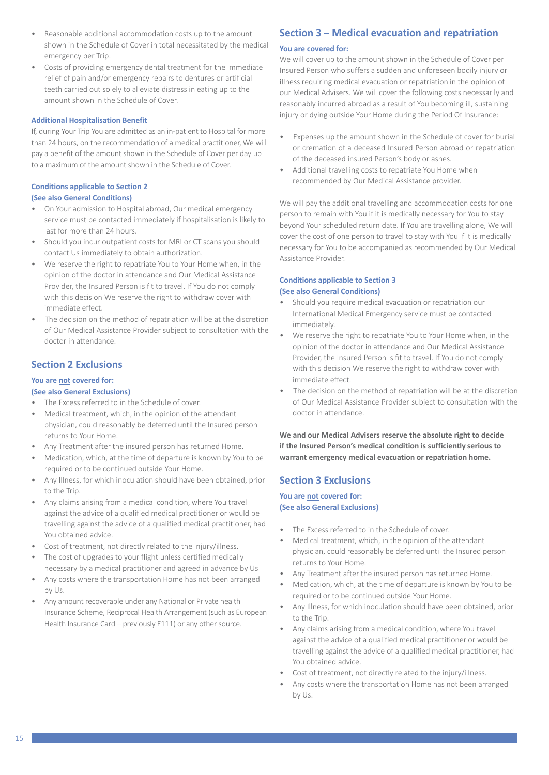- Reasonable additional accommodation costs up to the amount shown in the Schedule of Cover in total necessitated by the medical emergency per Trip.
- Costs of providing emergency dental treatment for the immediate relief of pain and/or emergency repairs to dentures or artificial teeth carried out solely to alleviate distress in eating up to the amount shown in the Schedule of Cover.

#### **Additional Hospitalisation Benefit**

If, during Your Trip You are admitted as an in-patient to Hospital for more than 24 hours, on the recommendation of a medical practitioner, We will pay a benefit of the amount shown in the Schedule of Cover per day up to a maximum of the amount shown in the Schedule of Cover.

#### **Conditions applicable to Section 2 (See also General Conditions)**

- On Your admission to Hospital abroad, Our medical emergency service must be contacted immediately if hospitalisation is likely to last for more than 24 hours.
- Should you incur outpatient costs for MRI or CT scans you should contact Us immediately to obtain authorization.
- We reserve the right to repatriate You to Your Home when, in the opinion of the doctor in attendance and Our Medical Assistance Provider, the Insured Person is fit to travel. If You do not comply with this decision We reserve the right to withdraw cover with immediate effect.
- The decision on the method of repatriation will be at the discretion of Our Medical Assistance Provider subject to consultation with the doctor in attendance.

## **Section 2 Exclusions**

#### **You are not covered for:**

#### **(See also General Exclusions)**

- The Excess referred to in the Schedule of cover.
- Medical treatment, which, in the opinion of the attendant physician, could reasonably be deferred until the Insured person returns to Your Home.
- Any Treatment after the insured person has returned Home.
- Medication, which, at the time of departure is known by You to be required or to be continued outside Your Home.
- Any Illness, for which inoculation should have been obtained, prior to the Trip.
- Any claims arising from a medical condition, where You travel against the advice of a qualified medical practitioner or would be travelling against the advice of a qualified medical practitioner, had You obtained advice.
- Cost of treatment, not directly related to the injury/illness.
- The cost of upgrades to your flight unless certified medically necessary by a medical practitioner and agreed in advance by Us
- Any costs where the transportation Home has not been arranged by Us.
- Any amount recoverable under any National or Private health Insurance Scheme, Reciprocal Health Arrangement (such as European Health Insurance Card – previously E111) or any other source.

## **Section 3 – Medical evacuation and repatriation**

#### **You are covered for:**

We will cover up to the amount shown in the Schedule of Cover per Insured Person who suffers a sudden and unforeseen bodily injury or illness requiring medical evacuation or repatriation in the opinion of our Medical Advisers. We will cover the following costs necessarily and reasonably incurred abroad as a result of You becoming ill, sustaining injury or dying outside Your Home during the Period Of Insurance:

- Expenses up the amount shown in the Schedule of cover for burial or cremation of a deceased Insured Person abroad or repatriation of the deceased insured Person's body or ashes.
- Additional travelling costs to repatriate You Home when recommended by Our Medical Assistance provider.

We will pay the additional travelling and accommodation costs for one person to remain with You if it is medically necessary for You to stay beyond Your scheduled return date. If You are travelling alone, We will cover the cost of one person to travel to stay with You if it is medically necessary for You to be accompanied as recommended by Our Medical Assistance Provider.

#### **Conditions applicable to Section 3 (See also General Conditions)**

- Should you require medical evacuation or repatriation our International Medical Emergency service must be contacted immediately.
- We reserve the right to repatriate You to Your Home when, in the opinion of the doctor in attendance and Our Medical Assistance Provider, the Insured Person is fit to travel. If You do not comply with this decision We reserve the right to withdraw cover with immediate effect.
- The decision on the method of repatriation will be at the discretion of Our Medical Assistance Provider subject to consultation with the doctor in attendance.

**We and our Medical Advisers reserve the absolute right to decide if the Insured Person's medical condition is sufficiently serious to warrant emergency medical evacuation or repatriation home.**

## **Section 3 Exclusions**

#### **You are not covered for: (See also General Exclusions)**

- The Excess referred to in the Schedule of cover.
- Medical treatment, which, in the opinion of the attendant physician, could reasonably be deferred until the Insured person returns to Your Home.
- Any Treatment after the insured person has returned Home.
- Medication, which, at the time of departure is known by You to be required or to be continued outside Your Home.
- Any Illness, for which inoculation should have been obtained, prior to the Trip.
- Any claims arising from a medical condition, where You travel against the advice of a qualified medical practitioner or would be travelling against the advice of a qualified medical practitioner, had You obtained advice.
- Cost of treatment, not directly related to the injury/illness.
- Any costs where the transportation Home has not been arranged by Us.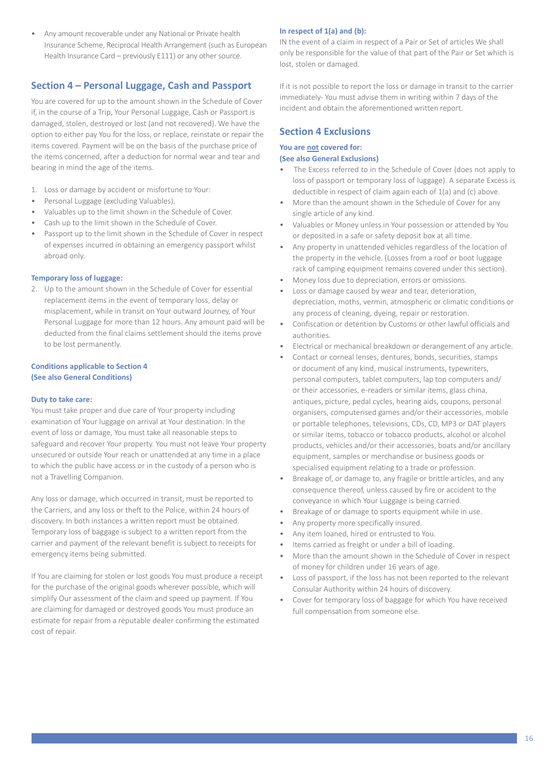• Any amount recoverable under any National or Private health Insurance Scheme, Reciprocal Health Arrangement (such as European Health Insurance Card – previously E111) or any other source.

## **Section 4 – Personal Luggage, Cash and Passport**

You are covered for up to the amount shown in the Schedule of Cover if, in the course of a Trip, Your Personal Luggage, Cash or Passport is damaged, stolen, destroyed or lost (and not recovered). We have the option to either pay You for the loss, or replace, reinstate or repair the items covered. Payment will be on the basis of the purchase price of the items concerned, after a deduction for normal wear and tear and bearing in mind the age of the items.

- 1. Loss or damage by accident or misfortune to Your:
- Personal Luggage (excluding Valuables).
- Valuables up to the limit shown in the Schedule of Cover.
- Cash up to the limit shown in the Schedule of Cover.
- Passport up to the limit shown in the Schedule of Cover in respect of expenses incurred in obtaining an emergency passport whilst abroad only.

#### **Temporary loss of luggage:**

2. Up to the amount shown in the Schedule of Cover for essential replacement items in the event of temporary loss, delay or misplacement, while in transit on Your outward Journey, of Your Personal Luggage for more than 12 hours. Any amount paid will be deducted from the final claims settlementshould the items prove to be lost permanently.

#### **Conditions applicable to Section 4 (See also General Conditions)**

#### **Duty to take care:**

You must take proper and due care of Your property including examination of Your luggage on arrival at Your destination. In the event of loss or damage, You must take all reasonable steps to safeguard and recover Your property. You must not leave Your property unsecured or outside Your reach or unattended at any time in a place to which the public have access or in the custody of a person who is not a Travelling Companion.

Any loss or damage, which occurred in transit, must be reported to the Carriers, and any loss or theft to the Police, within 24 hours of discovery. In both instances a written report must be obtained. Temporary loss of baggage is subject to a written report from the carrier and payment of the relevant benefit is subject to receipts for emergency items being submitted.

If You are claiming for stolen or lost goods You must produce a receipt for the purchase of the original goods wherever possible, which will simplify Our assessment of the claim and speed up payment. If You are claiming for damaged or destroyed goods You must produce an estimate for repair from a reputable dealer confirming the estimated cost of repair.

#### **In respect of 1(a) and (b):**

IN the event of a claim in respect of a Pair or Set of articles We shall only be responsible for the value of that part of the Pair or Set which is lost, stolen or damaged.

If it is not possible to report the loss or damage in transit to the carrier immediately- You must advise them in writing within 7 days of the incident and obtain the aforementioned written report.

### **Section 4 Exclusions**

#### **You are not covered for:**

#### **(See also General Exclusions)**

- The Excess referred to in the Schedule of Cover (does not apply to loss of passport or temporary loss of luggage). A separate Excess is deductible in respect of claim again each of 1(a) and (c) above.
- More than the amount shown in the Schedule of Cover for any single article of any kind.
- Valuables or Money unless in Your possession or attended by You or deposited in a safe or safety deposit box at all time.
- Any property in unattended vehicles regardless of the location of the property in the vehicle. (Losses from a roof or boot luggage rack of camping equipment remains covered under this section).
- Money loss due to depreciation, errors or omissions.
- Loss or damage caused by wear and tear, deterioration, depreciation, moths, vermin, atmospheric or climatic conditions or any process of cleaning, dyeing, repair or restoration.
- Confiscation or detention by Customs or other lawful officials and authorities.
- Electrical or mechanical breakdown or derangement of any article.
- Contact or corneal lenses, dentures, bonds, securities, stamps or document of any kind, musical instruments, typewriters, personal computers, tablet computers, lap top computers and/ or their accessories, e-readers or similar items, glass china, antiques, picture, pedal cycles, hearing aids, coupons, personal organisers, computerised games and/or their accessories, mobile or portable telephones, televisions, CDs, CD, MP3 or DAT players or similar items, tobacco or tobacco products, alcohol or alcohol products, vehicles and/or their accessories, boats and/or ancillary equipment, samples or merchandise or business goods or specialised equipment relating to a trade or profession.
- Breakage of, or damage to, any fragile or brittle articles, and any consequence thereof, unless caused by fire or accident to the conveyance in which Your Luggage is being carried.
- Breakage of or damage to sports equipment while in use.
- Any property more specifically insured.
- Any item loaned, hired or entrusted to You.
- Items carried as freight or under a bill of loading.
- More than the amount shown in the Schedule of Cover in respect of money for children under 16 years of age.
- Loss of passport, if the loss has not been reported to the relevant Consular Authority within 24 hours of discovery.
- Cover for temporary loss of baggage for which You have received full compensation from someone else.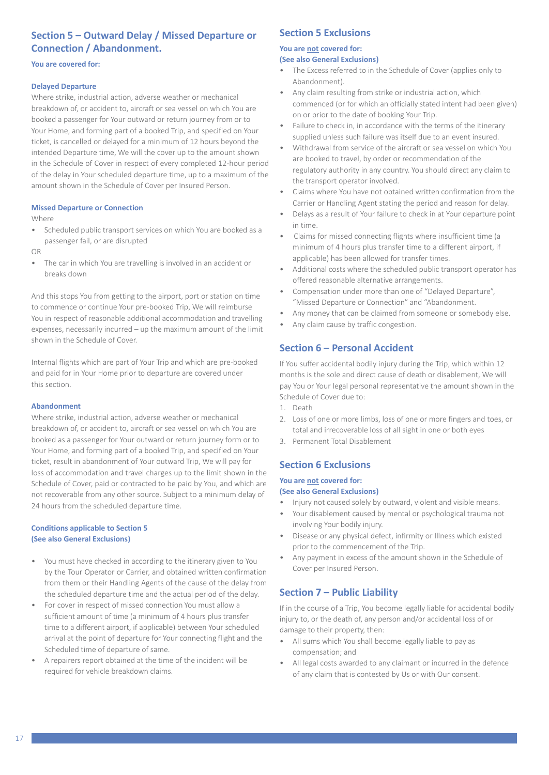## **Section 5 – Outward Delay / Missed Departure or Connection / Abandonment.**

#### **You are covered for:**

#### **Delayed Departure**

Where strike, industrial action, adverse weather or mechanical breakdown of, or accident to, aircraft or sea vessel on which You are booked a passenger for Your outward or return journey from or to Your Home, and forming part of a booked Trip, and specified on Your ticket, is cancelled or delayed for a minimum of 12 hours beyond the intended Departure time, We will the cover up to the amount shown in the Schedule of Cover in respect of every completed 12-hour period of the delay in Your scheduled departure time, up to a maximum of the amount shown in the Schedule of Cover per Insured Person.

#### **Missed Departure or Connection**

Where

• Scheduled public transport services on which You are booked as a passenger fail, or are disrupted

OR

The car in which You are travelling is involved in an accident or breaks down

And this stops You from getting to the airport, port or station on time to commence or continue Your pre-booked Trip, We will reimburse You in respect of reasonable additional accommodation and travelling expenses, necessarily incurred – up the maximum amount of the limit shown in the Schedule of Cover.

Internal flights which are part of Your Trip and which are pre-booked and paid for in Your Home prior to departure are covered under this section.

#### **Abandonment**

Where strike, industrial action, adverse weather or mechanical breakdown of, or accident to, aircraft or sea vessel on which You are booked as a passenger for Your outward or return journey form or to Your Home, and forming part of a booked Trip, and specified on Your ticket, result in abandonment of Your outward Trip, We will pay for loss of accommodation and travel charges up to the limit shown in the Schedule of Cover, paid or contracted to be paid by You, and which are not recoverable from any other source. Subject to a minimum delay of 24 hours from the scheduled departure time.

#### **Conditions applicable to Section 5 (See also General Exclusions)**

- You must have checked in according to the itinerary given to You by the Tour Operator or Carrier, and obtained written confirmation from them or their Handling Agents of the cause of the delay from the scheduled departure time and the actual period of the delay.
- For cover in respect of missed connection You must allow a sufficient amount of time (a minimum of 4 hours plus transfer time to a different airport, if applicable) between Your scheduled arrival at the point of departure for Your connecting flight and the Scheduled time of departure of same.
- A repairers report obtained at the time of the incident will be required for vehicle breakdown claims.

#### **Section 5 Exclusions**

## **You are not covered for:**

**(See also General Exclusions)**

- The Excess referred to in the Schedule of Cover (applies only to Abandonment).
- Any claim resulting from strike or industrial action, which commenced (or for which an officially stated intent had been given) on or prior to the date of booking Your Trip.
- Failure to check in, in accordance with the terms of the itinerary supplied unless such failure was itself due to an event insured.
- Withdrawal from service of the aircraft or sea vessel on which You are booked to travel, by order or recommendation of the regulatory authority in any country. You should direct any claim to the transport operator involved.
- Claims where You have not obtained written confirmation from the Carrier or Handling Agent stating the period and reason for delay.
- Delays as a result of Your failure to check in at Your departure point in time.
- Claims for missed connecting flights where insufficient time (a minimum of 4 hours plus transfer time to a different airport, if applicable) has been allowed for transfer times.
- Additional costs where the scheduled public transport operator has offered reasonable alternative arrangements.
- Compensation under more than one of "Delayed Departure", "Missed Departure or Connection" and "Abandonment.
- Any money that can be claimed from someone or somebody else.
- Any claim cause by traffic congestion.

## **Section 6 – Personal Accident**

If You suffer accidental bodily injury during the Trip, which within 12 months is the sole and direct cause of death or disablement, We will pay You or Your legal personal representative the amount shown in the Schedule of Cover due to:

- 1. Death
- 2. Loss of one or more limbs, loss of one or more fingers and toes, or total and irrecoverable loss of all sight in one or both eyes
- 3. Permanent Total Disablement

## **Section 6 Exclusions**

## **You are not covered for:**

## **(See also General Exclusions)**

- Injury not caused solely by outward, violent and visible means.
- Your disablement caused by mental or psychological trauma not involving Your bodily injury.
- Disease or any physical defect, infirmity or Illness which existed prior to the commencement of the Trip.
- Any payment in excess of the amount shown in the Schedule of Cover per Insured Person.

## **Section 7 – Public Liability**

If in the course of a Trip, You become legally liable for accidental bodily injury to, or the death of, any person and/or accidental loss of or damage to their property, then:

- All sums which You shall become legally liable to pay as compensation; and
- All legal costs awarded to any claimant or incurred in the defence of any claim that is contested by Us or with Our consent.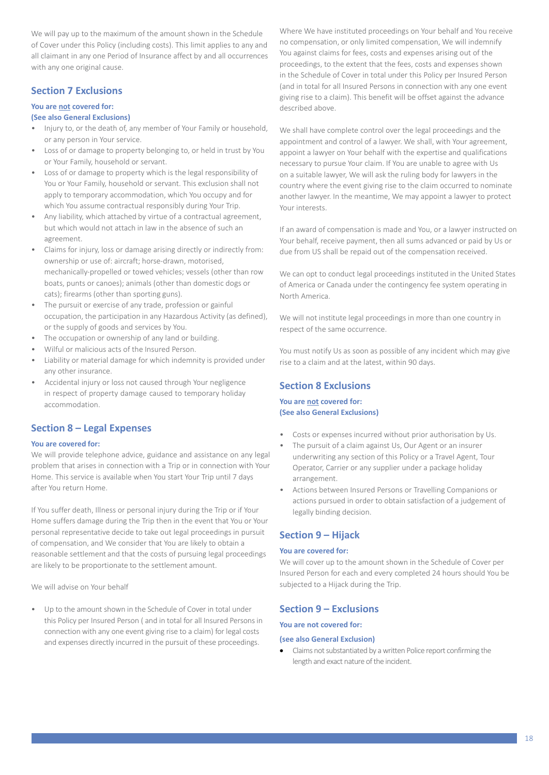We will pay up to the maximum of the amount shown in the Schedule of Cover under this Policy (including costs). This limit applies to any and all claimant in any one Period of Insurance affect by and all occurrences with any one original cause.

## **Section 7 Exclusions**

## **You are not covered for:**

#### **(See also General Exclusions)**

- Injury to, or the death of, any member of Your Family or household, or any person in Your service.
- Loss of or damage to property belonging to, or held in trust by You or Your Family, household or servant.
- Loss of or damage to property which is the legal responsibility of You or Your Family, household or servant. This exclusion shall not apply to temporary accommodation, which You occupy and for which You assume contractual responsibly during Your Trip.
- Any liability, which attached by virtue of a contractual agreement, but which would not attach in law in the absence of such an agreement.
- Claims for injury, loss or damage arising directly or indirectly from: ownership or use of: aircraft; horse-drawn, motorised, mechanically-propelled or towed vehicles; vessels (other than row boats, punts or canoes); animals (other than domestic dogs or cats); firearms (other than sporting guns).
- The pursuit or exercise of any trade, profession or gainful occupation, the participation in any Hazardous Activity (as defined), or the supply of goods and services by You.
- The occupation or ownership of any land or building.
- Wilful or malicious acts of the Insured Person.
- Liability or material damage for which indemnity is provided under any other insurance.
- Accidental injury or loss not caused through Your negligence in respect of property damage caused to temporary holiday accommodation.

## **Section 8 – Legal Expenses**

#### **You are covered for:**

We will provide telephone advice, guidance and assistance on any legal problem that arises in connection with a Trip or in connection with Your Home. This service is available when You start Your Trip until 7 days after You return Home.

If You suffer death, Illness or personal injury during the Trip or if Your Home suffers damage during the Trip then in the event that You or Your personal representative decide to take out legal proceedings in pursuit of compensation, and We consider that You are likely to obtain a reasonable settlement and that the costs of pursuing legal proceedings are likely to be proportionate to the settlement amount.

We will advise on Your behalf

Up to the amount shown in the Schedule of Cover in total under this Policy per Insured Person ( and in total for all Insured Persons in connection with any one event giving rise to a claim) for legal costs and expenses directly incurred in the pursuit of these proceedings.

Where We have instituted proceedings on Your behalf and You receive no compensation, or only limited compensation, We will indemnify You against claims for fees, costs and expenses arising out of the proceedings, to the extent that the fees, costs and expenses shown in the Schedule of Cover in total under this Policy per Insured Person (and in total for all Insured Persons in connection with any one event giving rise to a claim). This benefit will be offset against the advance described above.

We shall have complete control over the legal proceedings and the appointment and control of a lawyer. We shall, with Your agreement, appoint a lawyer on Your behalf with the expertise and qualifications necessary to pursue Your claim. If You are unable to agree with Us on a suitable lawyer, We will ask the ruling body for lawyers in the country where the event giving rise to the claim occurred to nominate another lawyer. In the meantime, We may appoint a lawyer to protect Your interests.

If an award of compensation is made and You, or a lawyer instructed on Your behalf, receive payment, then all sums advanced or paid by Us or due from US shall be repaid out of the compensation received.

We can opt to conduct legal proceedings instituted in the United States of America or Canada under the contingency fee system operating in North America.

We will not institute legal proceedings in more than one country in respect of the same occurrence.

You must notify Us as soon as possible of any incident which may give rise to a claim and at the latest, within 90 days.

## **Section 8 Exclusions**

#### **You are not covered for: (See also General Exclusions)**

- Costs or expenses incurred without prior authorisation by Us.
- The pursuit of a claim against Us, Our Agent or an insurer underwriting any section of this Policy or a Travel Agent, Tour Operator, Carrier or any supplier under a package holiday arrangement.
- Actions between Insured Persons or Travelling Companions or actions pursued in order to obtain satisfaction of a judgement of legally binding decision.

## **Section 9 – Hijack**

#### **You are covered for:**

We will cover up to the amount shown in the Schedule of Cover per Insured Person for each and every completed 24 hours should You be subjected to a Hijack during the Trip.

## **Section 9 – Exclusions**

#### **You are not covered for:**

#### **(see also General Exclusion)**

• Claims not substantiated by a written Police report confirming the length and exact nature of the incident.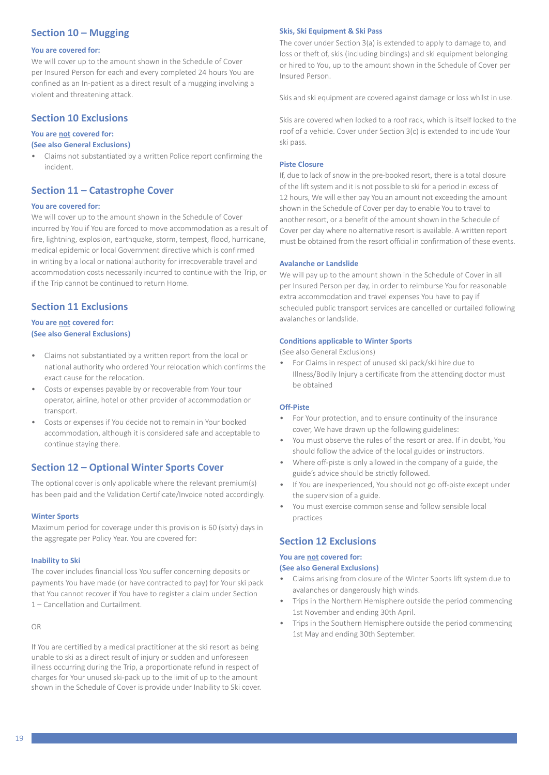## **Section 10 – Mugging**

#### **You are covered for:**

We will cover up to the amount shown in the Schedule of Cover per Insured Person for each and every completed 24 hours You are confined as an In-patient as a direct result of a mugging involving a violent and threatening attack.

### **Section 10 Exclusions**

#### **You are not covered for:**

#### **(See also General Exclusions)**

• Claims not substantiated by a written Police report confirming the incident.

#### **Section 11 – Catastrophe Cover**

#### **You are covered for:**

We will cover up to the amount shown in the Schedule of Cover incurred by You if You are forced to move accommodation as a result of fire, lightning, explosion, earthquake, storm, tempest, flood, hurricane, medical epidemic or local Government directive which is confirmed in writing by a local or national authority for irrecoverable travel and accommodation costs necessarily incurred to continue with the Trip, or if the Trip cannot be continued to return Home.

### **Section 11 Exclusions**

#### **You are not covered for: (See also General Exclusions)**

- Claims not substantiated by a written report from the local or national authority who ordered Your relocation which confirms the exact cause for the relocation.
- Costs or expenses payable by or recoverable from Your tour operator, airline, hotel or other provider of accommodation or transport.
- Costs or expenses if You decide not to remain in Your booked accommodation, although it is considered safe and acceptable to continue staying there.

## **Section 12 – Optional Winter Sports Cover**

The optional cover is only applicable where the relevant premium(s) has been paid and the Validation Certificate/Invoice noted accordingly.

#### **Winter Sports**

Maximum period for coverage under this provision is 60 (sixty) days in the aggregate per Policy Year. You are covered for:

#### **Inability to Ski**

The cover includes financial loss You suffer concerning deposits or payments You have made (or have contracted to pay) for Your ski pack that You cannot recover if You have to register a claim under Section 1 – Cancellation and Curtailment.

OR

If You are certified by a medical practitioner at the ski resort as being unable to ski as a direct result of injury or sudden and unforeseen illness occurring during the Trip, a proportionate refund in respect of charges for Your unused ski-pack up to the limit of up to the amount shown in the Schedule of Cover is provide under Inability to Ski cover.

#### **Skis, Ski Equipment & Ski Pass**

The cover under Section 3(a) is extended to apply to damage to, and loss or theft of, skis (including bindings) and ski equipment belonging or hired to You, up to the amount shown in the Schedule of Cover per Insured Person.

Skis and ski equipment are covered against damage or loss whilst in use.

Skis are covered when locked to a roof rack, which is itself locked to the roof of a vehicle. Cover under Section 3(c) is extended to include Your ski pass.

#### **Piste Closure**

If, due to lack of snow in the pre-booked resort, there is a total closure of the lift system and it is not possible to ski for a period in excess of 12 hours, We will either pay You an amount not exceeding the amount shown in the Schedule of Cover per day to enable You to travel to another resort, or a benefit of the amount shown in the Schedule of Cover per day where no alternative resort is available. A written report must be obtained from the resort official in confirmation of these events.

#### **Avalanche or Landslide**

We will pay up to the amount shown in the Schedule of Cover in all per Insured Person per day, in order to reimburse You for reasonable extra accommodation and travel expenses You have to pay if scheduled public transport services are cancelled or curtailed following avalanches or landslide.

#### **Conditions applicable to Winter Sports**

(See also General Exclusions)

• For Claims in respect of unused ski pack/ski hire due to Illness/Bodily Injury a certificate from the attending doctor must be obtained

#### **Off-Piste**

- For Your protection, and to ensure continuity of the insurance cover, We have drawn up the following guidelines:
- You must observe the rules of the resort or area. If in doubt, You should follow the advice of the local guides or instructors.
- Where off-piste is only allowed in the company of a guide, the guide's advice should be strictly followed.
- If You are inexperienced, You should not go off-piste except under the supervision of a guide.
- You must exercise common sense and follow sensible local practices

#### **Section 12 Exclusions**

#### **You are not covered for:**

#### **(See also General Exclusions)**

- Claims arising from closure of the Winter Sports lift system due to avalanches or dangerously high winds.
- Trips in the Northern Hemisphere outside the period commencing 1st November and ending 30th April.
- Trips in the Southern Hemisphere outside the period commencing 1st May and ending 30th September.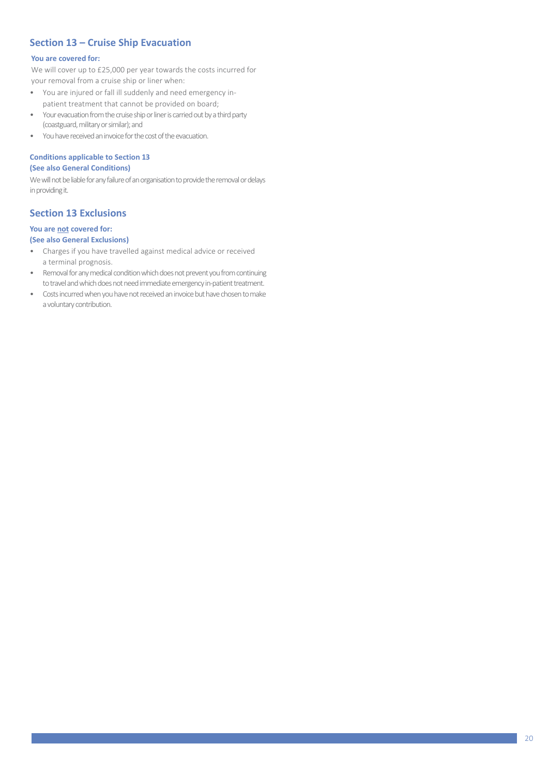## **Section 13 – Cruise Ship Evacuation**

#### **You are covered for:**

We will cover up to £25,000 per year towards the costs incurred for your removal from a cruise ship or liner when:

- You are injured or fall ill suddenly and need emergency inpatient treatment that cannot be provided on board;
- Your evacuation from the cruise ship or liner is carried out by a third party (coastguard, military or similar); and
- You have received an invoice for the cost of the evacuation.

#### **Conditions applicable to Section 13**

#### **(See also General Conditions)**

We will not be liable for any failure of an organisation to provide the removal or delays in providing it.

## **Section 13 Exclusions**

#### **You are not covered for: (See also General Exclusions)**

- Charges if you have travelled against medical advice or received
- a terminal prognosis. • Removal for any medical condition which does not prevent you from continuing to travel and which does not need immediate emergency in-patient treatment.
- Costs incurred when you have not received an invoice but have chosen to make a voluntary contribution.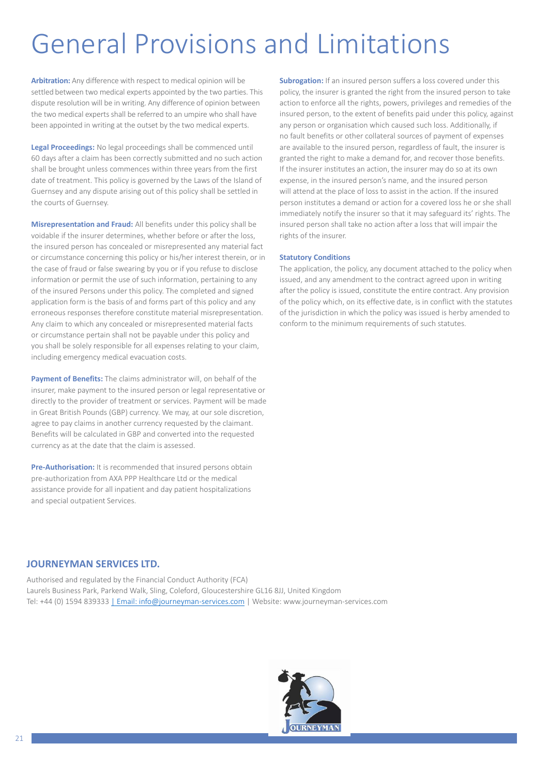## General Provisions and Limitations

**Arbitration:** Any difference with respect to medical opinion will be settled between two medical experts appointed by the two parties. This dispute resolution will be in writing. Any difference of opinion between the two medical experts shall be referred to an umpire who shall have been appointed in writing at the outset by the two medical experts.

**Legal Proceedings:** No legal proceedings shall be commenced until 60 days after a claim has been correctly submitted and no such action shall be brought unless commences within three years from the first date of treatment. This policy is governed by the Laws of the Island of Guernsey and any dispute arising out of this policy shall be settled in the courts of Guernsey.

**Misrepresentation and Fraud:** All benefits under this policy shall be voidable if the insurer determines, whether before or after the loss, the insured person has concealed or misrepresented any material fact or circumstance concerning this policy or his/her interest therein, or in the case of fraud or false swearing by you or if you refuse to disclose information or permit the use of such information, pertaining to any of the insured Persons under this policy. The completed and signed application form is the basis of and forms part of this policy and any erroneous responses therefore constitute material misrepresentation. Any claim to which any concealed or misrepresented material facts or circumstance pertain shall not be payable under this policy and you shall be solely responsible for all expenses relating to your claim, including emergency medical evacuation costs.

**Payment of Benefits:** The claims administrator will, on behalf of the insurer, make payment to the insured person or legal representative or directly to the provider of treatment or services. Payment will be made in Great British Pounds (GBP) currency. We may, at our sole discretion, agree to pay claims in another currency requested by the claimant. Benefits will be calculated in GBP and converted into the requested currency as at the date that the claim is assessed.

**Pre-Authorisation:** It is recommended that insured persons obtain pre-authorization from AXA PPP Healthcare Ltd or the medical assistance provide for all inpatient and day patient hospitalizations and special outpatient Services.

**Subrogation:** If an insured person suffers a loss covered under this policy, the insurer is granted the right from the insured person to take action to enforce all the rights, powers, privileges and remedies of the insured person, to the extent of benefits paid under this policy, against any person or organisation which caused such loss. Additionally, if no fault benefits or other collateral sources of payment of expenses are available to the insured person, regardless of fault, the insurer is granted the right to make a demand for, and recover those benefits. If the insurer institutes an action, the insurer may do so at its own expense, in the insured person's name, and the insured person will attend at the place of loss to assist in the action. If the insured person institutes a demand or action for a covered loss he or she shall immediately notify the insurer so that it may safeguard its' rights. The insured person shall take no action after a loss that will impair the rights of the insurer.

#### **Statutory Conditions**

The application, the policy, any document attached to the policy when issued, and any amendment to the contract agreed upon in writing after the policy is issued, constitute the entire contract. Any provision of the policy which, on its effective date, is in conflict with the statutes of the jurisdiction in which the policy was issued is herby amended to conform to the minimum requirements of such statutes.

## **JOURNEYMAN SERVICES LTD.**

Authorised and regulated by the Financial Conduct Authority (FCA) Laurels Business Park, Parkend Walk, Sling, Coleford, Gloucestershire GL16 8JJ, United Kingdom Tel: +44 (0) 1594 83933[3 | Email: info@journeyman-services.com](mailto:%7C%20Email:%20info@journeyman-services.com) | Webs[ite: www.journeyman-services.com](http://www.journeyman-services.com/)